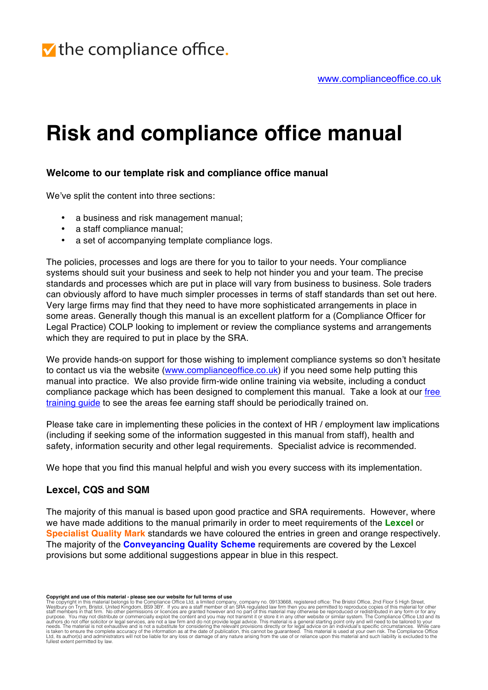# **Risk and compliance office manual**

### **Welcome to our template risk and compliance office manual**

We've split the content into three sections:

- a business and risk management manual;
- a staff compliance manual;
- a set of accompanying template compliance logs.

The policies, processes and logs are there for you to tailor to your needs. Your compliance systems should suit your business and seek to help not hinder you and your team. The precise standards and processes which are put in place will vary from business to business. Sole traders can obviously afford to have much simpler processes in terms of staff standards than set out here. Very large firms may find that they need to have more sophisticated arrangements in place in some areas. Generally though this manual is an excellent platform for a (Compliance Officer for Legal Practice) COLP looking to implement or review the compliance systems and arrangements which they are required to put in place by the SRA.

We provide hands-on support for those wishing to implement compliance systems so don't hesitate to contact us via the website (www.complianceoffice.co.uk) if you need some help putting this manual into practice. We also provide firm-wide online training via website, including a conduct compliance package which has been designed to complement this manual. Take a look at our free training guide to see the areas fee earning staff should be periodically trained on.

Please take care in implementing these policies in the context of HR / employment law implications (including if seeking some of the information suggested in this manual from staff), health and safety, information security and other legal requirements. Specialist advice is recommended.

We hope that you find this manual helpful and wish you every success with its implementation.

#### **Lexcel, CQS and SQM**

The majority of this manual is based upon good practice and SRA requirements. However, where we have made additions to the manual primarily in order to meet requirements of the **Lexcel** or **Specialist Quality Mark** standards we have coloured the entries in green and orange respectively. The majority of the **Conveyancing Quality Scheme** requirements are covered by the Lexcel provisions but some additional suggestions appear in blue in this respect.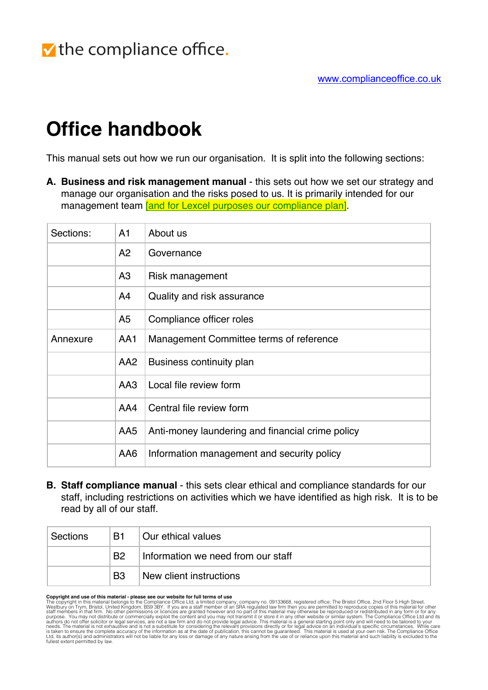# **Office handbook**

This manual sets out how we run our organisation. It is split into the following sections:

**A. Business and risk management manual** - this sets out how we set our strategy and manage our organisation and the risks posed to us. It is primarily intended for our management team and for Lexcel purposes our compliance plan.

| Sections: | A <sub>1</sub>  | About us                                         |
|-----------|-----------------|--------------------------------------------------|
|           | A2              | Governance                                       |
|           | A3              | Risk management                                  |
|           | A4              | Quality and risk assurance                       |
|           | A5              | Compliance officer roles                         |
| Annexure  | AA1             | Management Committee terms of reference          |
|           | AA <sub>2</sub> | Business continuity plan                         |
|           | AA3             | Local file review form                           |
|           | AA4             | Central file review form                         |
|           | AA5             | Anti-money laundering and financial crime policy |
|           | AA6             | Information management and security policy       |

**B. Staff compliance manual** - this sets clear ethical and compliance standards for our staff, including restrictions on activities which we have identified as high risk. It is to be read by all of our staff.

| ∣ Sections | B1             | Our ethical values                 |
|------------|----------------|------------------------------------|
|            | B <sub>2</sub> | Information we need from our staff |
|            | B <sub>3</sub> | New client instructions            |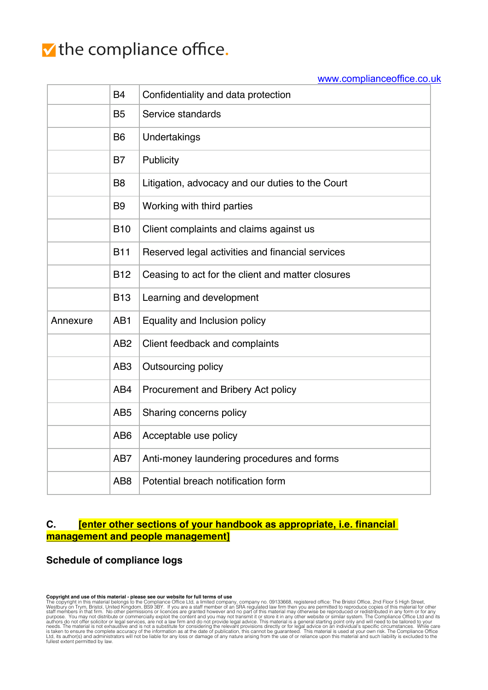## V the compliance office.

#### www.complianceoffice.co.uk

|          | <b>B4</b>       | Confidentiality and data protection               |
|----------|-----------------|---------------------------------------------------|
|          | <b>B5</b>       | Service standards                                 |
|          | B <sub>6</sub>  | Undertakings                                      |
|          | B7              | Publicity                                         |
|          | B <sub>8</sub>  | Litigation, advocacy and our duties to the Court  |
|          | B <sub>9</sub>  | Working with third parties                        |
|          | <b>B10</b>      | Client complaints and claims against us           |
|          | <b>B11</b>      | Reserved legal activities and financial services  |
|          | <b>B12</b>      | Ceasing to act for the client and matter closures |
|          | <b>B13</b>      | Learning and development                          |
| Annexure | AB <sub>1</sub> | Equality and Inclusion policy                     |
|          | AB <sub>2</sub> | Client feedback and complaints                    |
|          | AB <sub>3</sub> | <b>Outsourcing policy</b>                         |
|          | AB4             | Procurement and Bribery Act policy                |
|          | AB <sub>5</sub> | Sharing concerns policy                           |
|          | AB <sub>6</sub> | Acceptable use policy                             |
|          | AB7             | Anti-money laundering procedures and forms        |
|          | AB <sub>8</sub> | Potential breach notification form                |

## **C. [enter other sections of your handbook as appropriate, i.e. financial management and people management]**

### **Schedule of compliance logs**